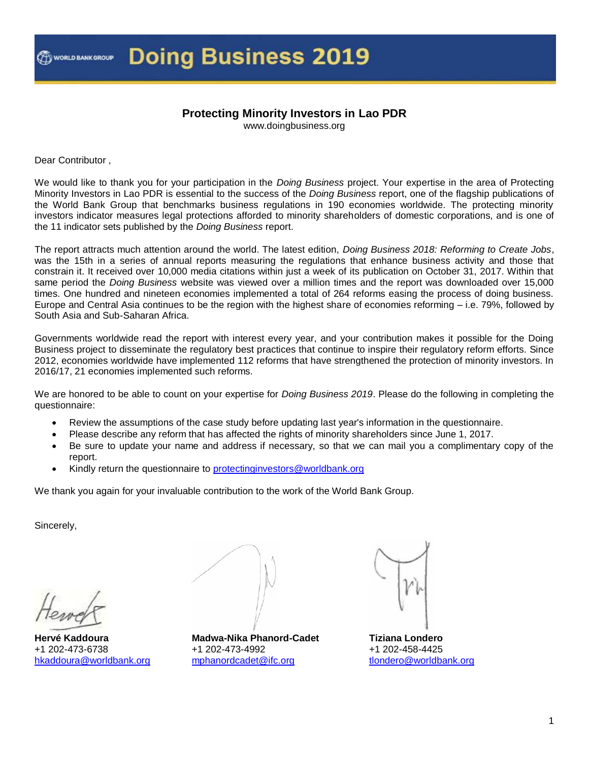#### **Protecting Minority Investors in Lao PDR**

www.doingbusiness.org

Dear Contributor ,

We would like to thank you for your participation in the *Doing Business* project. Your expertise in the area of Protecting Minority Investors in Lao PDR is essential to the success of the *Doing Business* report, one of the flagship publications of the World Bank Group that benchmarks business regulations in 190 economies worldwide. The protecting minority investors indicator measures legal protections afforded to minority shareholders of domestic corporations, and is one of the 11 indicator sets published by the *Doing Business* report.

The report attracts much attention around the world. The latest edition, *Doing Business 2018: Reforming to Create Jobs*, was the 15th in a series of annual reports measuring the regulations that enhance business activity and those that constrain it. It received over 10,000 media citations within just a week of its publication on October 31, 2017. Within that same period the *Doing Business* website was viewed over a million times and the report was downloaded over 15,000 times. One hundred and nineteen economies implemented a total of 264 reforms easing the process of doing business. Europe and Central Asia continues to be the region with the highest share of economies reforming – i.e. 79%, followed by South Asia and Sub-Saharan Africa.

Governments worldwide read the report with interest every year, and your contribution makes it possible for the Doing Business project to disseminate the regulatory best practices that continue to inspire their regulatory reform efforts. Since 2012, economies worldwide have implemented 112 reforms that have strengthened the protection of minority investors. In 2016/17, 21 economies implemented such reforms.

We are honored to be able to count on your expertise for *Doing Business 2019*. Please do the following in completing the questionnaire:

- Review the assumptions of the case study before updating last year's information in the questionnaire.
- Please describe any reform that has affected the rights of minority shareholders since June 1, 2017.
- Be sure to update your name and address if necessary, so that we can mail you a complimentary copy of the report.
- Kindly return the questionnaire to protecting investors@worldbank.org

We thank you again for your invaluable contribution to the work of the World Bank Group.

Sincerely,

**Hervé Kaddoura** +1 202-473-6738 [hkaddoura@worldbank.org](mailto:hkaddoura@worldbank.org)

**Madwa-Nika Phanord-Cadet** +1 202-473-4992 [mphanordcadet@ifc.org](mailto:mphanordcadet@ifc.org)



**Tiziana Londero** +1 202-458-4425 [tlondero@worldbank.org](mailto:tlondero@worldbank.org)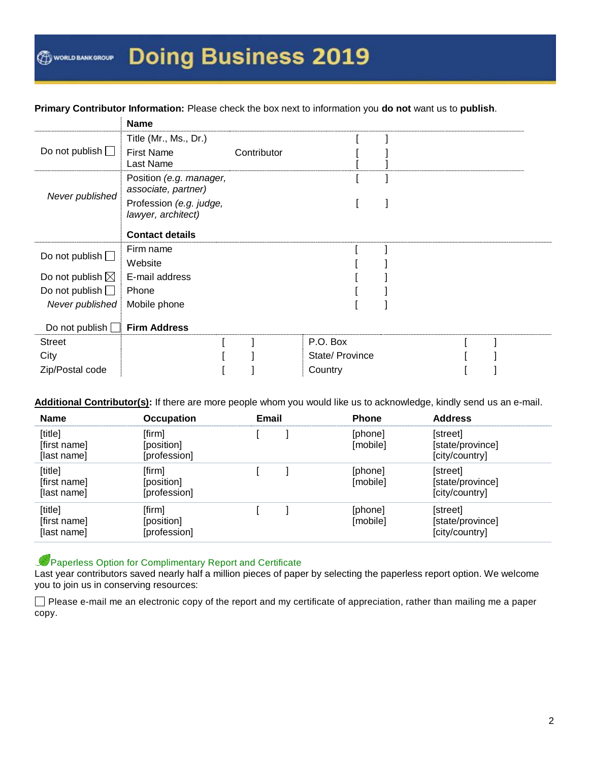#### **Primary Contributor Information:** Please check the box next to information you **do not** want us to **publish**.

|                            | <b>Name</b>                                    |             |                 |  |  |
|----------------------------|------------------------------------------------|-------------|-----------------|--|--|
|                            | Title (Mr., Ms., Dr.)                          |             |                 |  |  |
| Do not publish $\Box$      | <b>First Name</b>                              | Contributor |                 |  |  |
|                            | Last Name                                      |             |                 |  |  |
|                            | Position (e.g. manager,<br>associate, partner) |             |                 |  |  |
| Never published            | Profession (e.g. judge,<br>lawyer, architect)  |             |                 |  |  |
|                            | <b>Contact details</b>                         |             |                 |  |  |
| Do not publish $\square$   | Firm name                                      |             |                 |  |  |
|                            | Website                                        |             |                 |  |  |
| Do not publish $\boxtimes$ | E-mail address                                 |             |                 |  |  |
| Do not publish $\Box$      | Phone                                          |             |                 |  |  |
| Never published            | Mobile phone                                   |             |                 |  |  |
|                            |                                                |             |                 |  |  |
| Do not publish $\Box$      | <b>Firm Address</b>                            |             |                 |  |  |
| <b>Street</b>              |                                                |             | P.O. Box        |  |  |
| City                       |                                                |             | State/ Province |  |  |
| Zip/Postal code            |                                                |             | Country         |  |  |

**Additional Contributor(s):** If there are more people whom you would like us to acknowledge, kindly send us an e-mail.

| <b>Name</b>                            | <b>Occupation</b>                    | Email | <b>Phone</b>        | <b>Address</b>                                 |
|----------------------------------------|--------------------------------------|-------|---------------------|------------------------------------------------|
| [title]<br>[first name]<br>[last name] | [firm]<br>[position]<br>[profession] |       | [phone]<br>[mobile] | [street]<br>[state/province]<br>[city/country] |
| [title]<br>[first name]<br>[last name] | [firm]<br>[position]<br>[profession] |       | [phone]<br>[mobile] | [street]<br>[state/province]<br>[city/country] |
| [title]<br>[first name]<br>[last name] | [firm]<br>[position]<br>[profession] |       | [phone]<br>[mobile] | [street]<br>[state/province]<br>[city/country] |

#### Paperless Option for Complimentary Report and Certificate ىك

Last year contributors saved nearly half a million pieces of paper by selecting the paperless report option. We welcome you to join us in conserving resources:

Please e-mail me an electronic copy of the report and my certificate of appreciation, rather than mailing me a paper copy.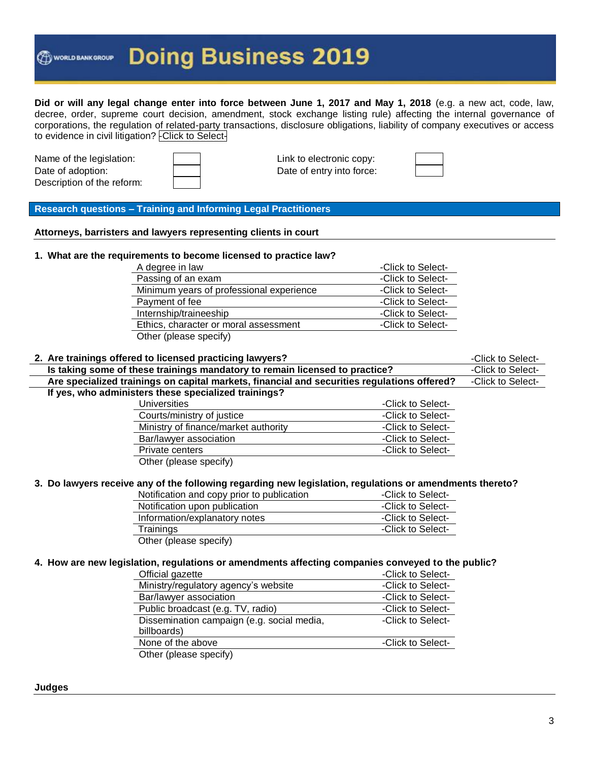**Did or will any legal change enter into force between June 1, 2017 and May 1, 2018** (e.g. a new act, code, law, decree, order, supreme court decision, amendment, stock exchange listing rule) affecting the internal governance of corporations, the regulation of related-party transactions, disclosure obligations, liability of company executives or access to evidence in civil litigation? - Click to Select-

Name of the legislation:  $\parallel$  |  $\parallel$  | Link to electronic copy: Date of adoption: **Date of entry into force:** Description of the reform:



**Research questions – Training and Informing Legal Practitioners**

**Attorneys, barristers and lawyers representing clients in court**

#### **1. What are the requirements to become licensed to practice law?**

| A degree in law                          | -Click to Select- |
|------------------------------------------|-------------------|
| Passing of an exam                       | -Click to Select- |
| Minimum years of professional experience | -Click to Select- |
| Payment of fee                           | -Click to Select- |
| Internship/traineeship                   | -Click to Select- |
| Ethics, character or moral assessment    | -Click to Select- |
| Other (please specify)                   |                   |

| 2. Are trainings offered to licensed practicing lawyers?                                    |                   | -Click to Select- |
|---------------------------------------------------------------------------------------------|-------------------|-------------------|
| Is taking some of these trainings mandatory to remain licensed to practice?                 |                   | -Click to Select- |
| Are specialized trainings on capital markets, financial and securities regulations offered? |                   | -Click to Select- |
| If yes, who administers these specialized trainings?                                        |                   |                   |
| <b>Universities</b>                                                                         | -Click to Select- |                   |
| Courts/ministry of justice                                                                  | -Click to Select- |                   |
| Ministry of finance/market authority                                                        | -Click to Select- |                   |
| Bar/lawyer association                                                                      | -Click to Select- |                   |
| Private centers                                                                             | -Click to Select- |                   |
| Other (please specify)                                                                      |                   |                   |
|                                                                                             |                   |                   |

#### **3. Do lawyers receive any of the following regarding new legislation, regulations or amendments thereto?**

| Notification and copy prior to publication | -Click to Select- |
|--------------------------------------------|-------------------|
| Notification upon publication              | -Click to Select- |
| Information/explanatory notes              | -Click to Select- |
| Trainings                                  | -Click to Select- |
| $Oth$ (place epecify)                      |                   |

Other (please specify)

#### **4. How are new legislation, regulations or amendments affecting companies conveyed to the public?**

| Official gazette                           | -Click to Select- |
|--------------------------------------------|-------------------|
| Ministry/regulatory agency's website       | -Click to Select- |
| Bar/lawyer association                     | -Click to Select- |
| Public broadcast (e.g. TV, radio)          | -Click to Select- |
| Dissemination campaign (e.g. social media, | -Click to Select- |
| billboards)                                |                   |
| None of the above                          | -Click to Select- |
| Other (please specify)                     |                   |
|                                            |                   |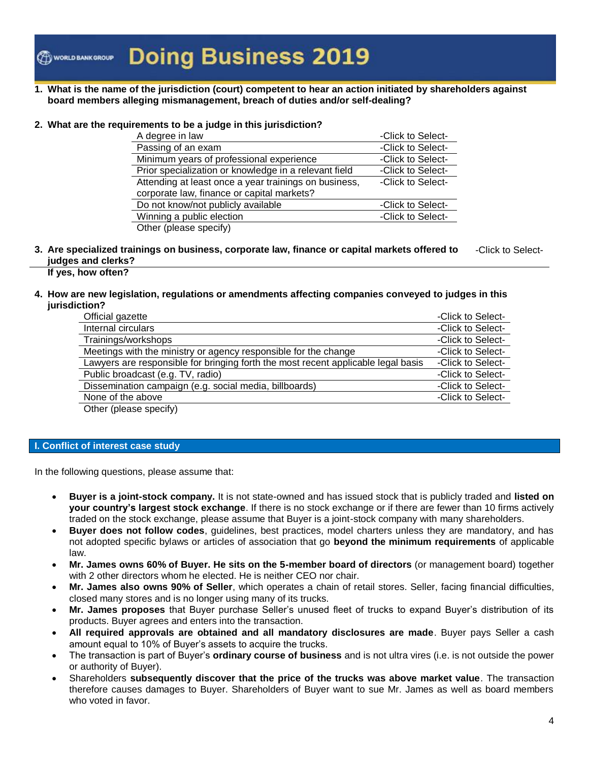**1. What is the name of the jurisdiction (court) competent to hear an action initiated by shareholders against board members alleging mismanagement, breach of duties and/or self-dealing?**

#### **2. What are the requirements to be a judge in this jurisdiction?**

| A degree in law                                       | -Click to Select- |
|-------------------------------------------------------|-------------------|
| Passing of an exam                                    | -Click to Select- |
| Minimum years of professional experience              | -Click to Select- |
| Prior specialization or knowledge in a relevant field | -Click to Select- |
| Attending at least once a year trainings on business, | -Click to Select- |
| corporate law, finance or capital markets?            |                   |
| Do not know/not publicly available                    | -Click to Select- |
| Winning a public election                             | -Click to Select- |
| Other (please specify)                                |                   |

**3. Are specialized trainings on business, corporate law, finance or capital markets offered to judges and clerks?** -Click to Select-

#### **If yes, how often?**

#### **4. How are new legislation, regulations or amendments affecting companies conveyed to judges in this jurisdiction?**

| Official gazette                                                                                                        | -Click to Select- |
|-------------------------------------------------------------------------------------------------------------------------|-------------------|
| Internal circulars                                                                                                      | -Click to Select- |
| Trainings/workshops                                                                                                     | -Click to Select- |
| Meetings with the ministry or agency responsible for the change                                                         | -Click to Select- |
| Lawyers are responsible for bringing forth the most recent applicable legal basis                                       | -Click to Select- |
| Public broadcast (e.g. TV, radio)                                                                                       | -Click to Select- |
| Dissemination campaign (e.g. social media, billboards)                                                                  | -Click to Select- |
| None of the above                                                                                                       | -Click to Select- |
| $\bigcap_{i=1}^{n}$ $\bigcup_{i=1}^{n}$ $\bigcup_{i=1}^{n}$ $\bigcup_{i=1}^{n}$ $\bigcup_{i=1}^{n}$ $\bigcup_{i=1}^{n}$ |                   |

Other (please specify)

#### **I. Conflict of interest case study**

In the following questions, please assume that:

- **Buyer is a joint-stock company.** It is not state-owned and has issued stock that is publicly traded and **listed on your country's largest stock exchange**. If there is no stock exchange or if there are fewer than 10 firms actively traded on the stock exchange, please assume that Buyer is a joint-stock company with many shareholders.
- **Buyer does not follow codes**, guidelines, best practices, model charters unless they are mandatory, and has not adopted specific bylaws or articles of association that go **beyond the minimum requirements** of applicable law.
- **Mr. James owns 60% of Buyer. He sits on the 5-member board of directors** (or management board) together with 2 other directors whom he elected. He is neither CEO nor chair.
- **Mr. James also owns 90% of Seller**, which operates a chain of retail stores. Seller, facing financial difficulties, closed many stores and is no longer using many of its trucks.
- **Mr. James proposes** that Buyer purchase Seller's unused fleet of trucks to expand Buyer's distribution of its products. Buyer agrees and enters into the transaction.
- **All required approvals are obtained and all mandatory disclosures are made**. Buyer pays Seller a cash amount equal to 10% of Buyer's assets to acquire the trucks.
- The transaction is part of Buyer's **ordinary course of business** and is not ultra vires (i.e. is not outside the power or authority of Buyer).
- Shareholders **subsequently discover that the price of the trucks was above market value**. The transaction therefore causes damages to Buyer. Shareholders of Buyer want to sue Mr. James as well as board members who voted in favor.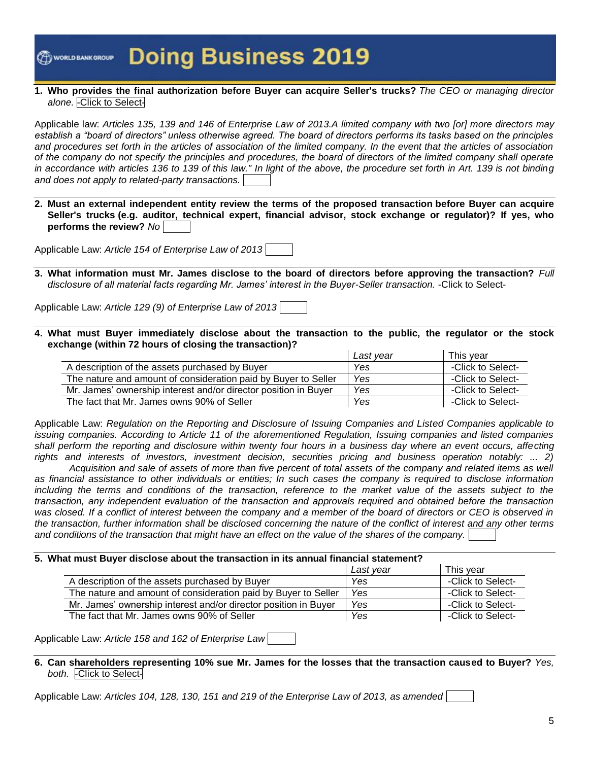WORLD BANK GROUP

## **Doing Business 2019**

#### **1. Who provides the final authorization before Buyer can acquire Seller's trucks?** *The CEO or managing director alone.* -Click to Select-

Applicable law: *Articles 135, 139 and 146 of Enterprise Law of 2013.A limited company with two [or] more directors may establish a "board of directors" unless otherwise agreed. The board of directors performs its tasks based on the principles and procedures set forth in the articles of association of the limited company. In the event that the articles of association of the company do not specify the principles and procedures, the board of directors of the limited company shall operate in accordance with articles 136 to 139 of this law." In light of the above, the procedure set forth in Art. 139 is not binding and does not apply to related-party transactions.*

**2. Must an external independent entity review the terms of the proposed transaction before Buyer can acquire Seller's trucks (e.g. auditor, technical expert, financial advisor, stock exchange or regulator)? If yes, who performs the review?** *No*

Applicable Law: *Article 154 of Enterprise Law of 2013*

**3. What information must Mr. James disclose to the board of directors before approving the transaction?** *Full disclosure of all material facts regarding Mr. James' interest in the Buyer-Seller transaction.* -Click to Select-

Applicable Law: *Article 129 (9) of Enterprise Law of 2013*

**4. What must Buyer immediately disclose about the transaction to the public, the regulator or the stock exchange (within 72 hours of closing the transaction)?**

|                                                                 | Last year | This vear         |
|-----------------------------------------------------------------|-----------|-------------------|
| A description of the assets purchased by Buyer                  | Yes       | -Click to Select- |
| The nature and amount of consideration paid by Buyer to Seller  | Yes       | -Click to Select- |
| Mr. James' ownership interest and/or director position in Buver | Yes       | -Click to Select- |
| The fact that Mr. James owns 90% of Seller                      | Yes       | -Click to Select- |

Applicable Law: *Regulation on the Reporting and Disclosure of Issuing Companies and Listed Companies applicable to issuing companies. According to Article 11 of the aforementioned Regulation, Issuing companies and listed companies shall perform the reporting and disclosure within twenty four hours in a business day where an event occurs, affecting rights and interests of investors, investment decision, securities pricing and business operation notably: ... 2)*

*Acquisition and sale of assets of more than five percent of total assets of the company and related items as well as financial assistance to other individuals or entities; In such cases the company is required to disclose information*  including the terms and conditions of the transaction, reference to the market value of the assets subject to the *transaction, any independent evaluation of the transaction and approvals required and obtained before the transaction*  was closed. If a conflict of interest between the company and a member of the board of directors or CEO is observed in *the transaction, further information shall be disclosed concerning the nature of the conflict of interest and any other terms and conditions of the transaction that might have an effect on the value of the shares of the company.*

#### **5. What must Buyer disclose about the transaction in its annual financial statement?**

|                                                                 | Last vear | This vear         |
|-----------------------------------------------------------------|-----------|-------------------|
| A description of the assets purchased by Buyer                  | Yes       | -Click to Select- |
| The nature and amount of consideration paid by Buyer to Seller  | Yes       | -Click to Select- |
| Mr. James' ownership interest and/or director position in Buyer | Yes       | -Click to Select- |
| The fact that Mr. James owns 90% of Seller                      | Yes       | -Click to Select- |

Applicable Law: *Article 158 and 162 of Enterprise Law*

**6. Can shareholders representing 10% sue Mr. James for the losses that the transaction caused to Buyer?** *Yes, both.* -Click to Select-

Applicable Law: *Articles 104, 128, 130, 151 and 219 of the Enterprise Law of 2013, as amended*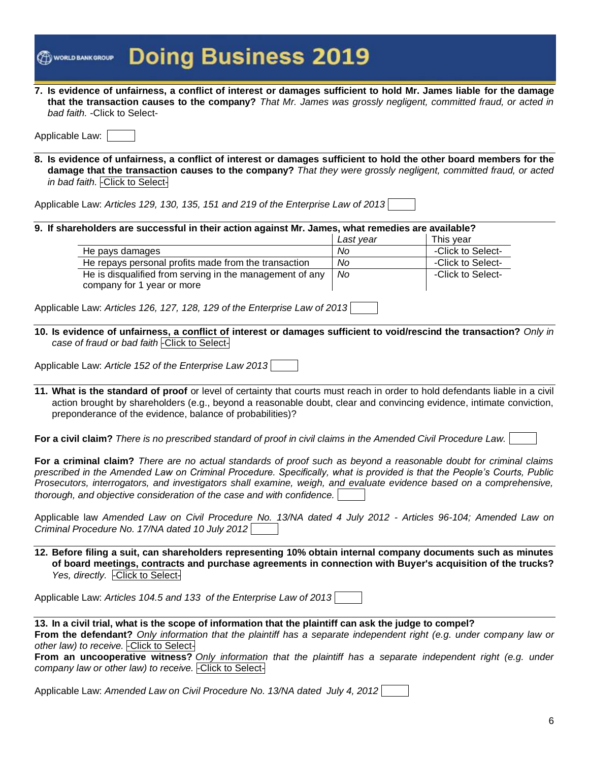|                               | <b>இண்ணணை Doing Business 2019</b>                                                                                  |
|-------------------------------|--------------------------------------------------------------------------------------------------------------------|
|                               | 7. Is evidence of unfairness, a conflict of interest or damages sufficient to hold Mr. James liable for the damage |
|                               | that the transaction causes to the company? That Mr. James was grossly negligent, committed fraud, or acted in     |
| bad faith. - Click to Select- |                                                                                                                    |

| Applicable Law: |
|-----------------|
|-----------------|

**8. Is evidence of unfairness, a conflict of interest or damages sufficient to hold the other board members for the damage that the transaction causes to the company?** *That they were grossly negligent, committed fraud, or acted in bad faith.* -Click to Select-

Applicable Law: *Articles 129, 130, 135, 151 and 219 of the Enterprise Law of 2013*

#### **9. If shareholders are successful in their action against Mr. James, what remedies are available?**

|                                                          | Last vear | This vear         |
|----------------------------------------------------------|-----------|-------------------|
| He pays damages                                          | Nο        | -Click to Select- |
| He repays personal profits made from the transaction     | No.       | -Click to Select- |
| He is disqualified from serving in the management of any | No.       | -Click to Select- |
| company for 1 year or more                               |           |                   |

Applicable Law: *Articles 126, 127, 128, 129 of the Enterprise Law of 2013*

**10. Is evidence of unfairness, a conflict of interest or damages sufficient to void/rescind the transaction?** *Only in case of fraud or bad faith* -Click to Select-

Applicable Law: *Article 152 of the Enterprise Law 2013*

**11. What is the standard of proof** or level of certainty that courts must reach in order to hold defendants liable in a civil action brought by shareholders (e.g., beyond a reasonable doubt, clear and convincing evidence, intimate conviction, preponderance of the evidence, balance of probabilities)?

**For a civil claim?** *There is no prescribed standard of proof in civil claims in the Amended Civil Procedure Law.*

**For a criminal claim?** *There are no actual standards of proof such as beyond a reasonable doubt for criminal claims prescribed in the Amended Law on Criminal Procedure. Specifically, what is provided is that the People's Courts, Public Prosecutors, interrogators, and investigators shall examine, weigh, and evaluate evidence based on a comprehensive, thorough, and objective consideration of the case and with confidence.*

Applicable law *Amended Law on Civil Procedure No. 13/NA dated 4 July 2012 - Articles 96-104; Amended Law on Criminal Procedure No. 17/NA dated 10 July 2012*

**12. Before filing a suit, can shareholders representing 10% obtain internal company documents such as minutes of board meetings, contracts and purchase agreements in connection with Buyer's acquisition of the trucks?**  Yes, directly. - Click to Select-

Applicable Law: *Articles 104.5 and 133 of the Enterprise Law of 2013*

| 13. In a civil trial, what is the scope of information that the plaintiff can ask the judge to compel?              |  |      |  |  |  |  |  |
|---------------------------------------------------------------------------------------------------------------------|--|------|--|--|--|--|--|
| From the defendant? Only information that the plaintiff has a separate independent right (e.g. under company law or |  |      |  |  |  |  |  |
| other law) to receive. Click to Select-                                                                             |  |      |  |  |  |  |  |
|                                                                                                                     |  | ---- |  |  |  |  |  |

**From an uncooperative witness?** *Only information that the plaintiff has a separate independent right (e.g. under company law or other law) to receive.* -Click to Select-

Applicable Law: *Amended Law on Civil Procedure No. 13/NA dated July 4, 2012*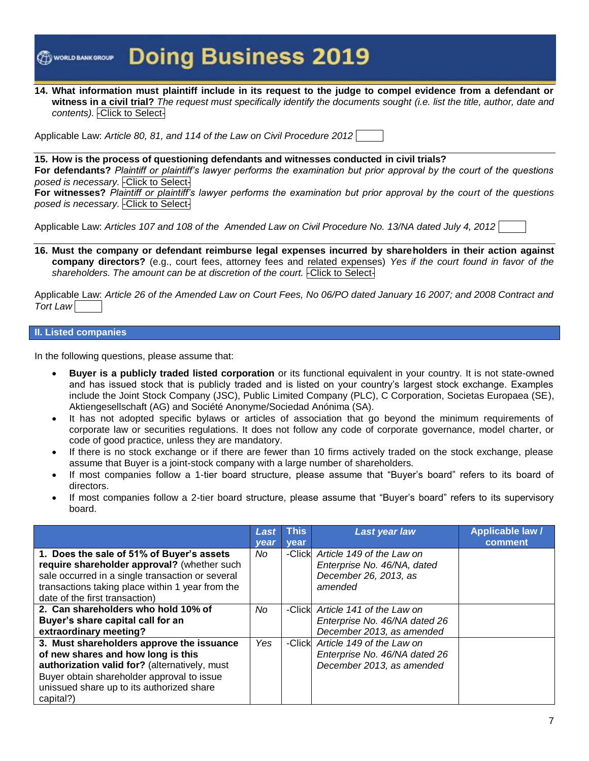**14. What information must plaintiff include in its request to the judge to compel evidence from a defendant or witness in a civil trial?** *The request must specifically identify the documents sought (i.e. list the title, author, date and contents).* -Click to Select-

Applicable Law: *Article 80, 81, and 114 of the Law on Civil Procedure 2012*

**15. How is the process of questioning defendants and witnesses conducted in civil trials? For defendants?** *Plaintiff or plaintiff's lawyer performs the examination but prior approval by the court of the questions posed is necessary.* -Click to Select-

**For witnesses?** *Plaintiff or plaintiff's lawyer performs the examination but prior approval by the court of the questions posed is necessary.* -Click to Select-

Applicable Law: *Articles 107 and 108 of the Amended Law on Civil Procedure No. 13/NA dated July 4, 2012*

**16. Must the company or defendant reimburse legal expenses incurred by shareholders in their action against company directors?** (e.g., court fees, attorney fees and related expenses) *Yes if the court found in favor of the shareholders. The amount can be at discretion of the court.* -Click to Select-

Applicable Law: *Article 26 of the Amended Law on Court Fees, No 06/PO dated January 16 2007; and 2008 Contract and Tort Law*

#### **II. Listed companies**

In the following questions, please assume that:

- **Buyer is a publicly traded listed corporation** or its functional equivalent in your country. It is not state-owned and has issued stock that is publicly traded and is listed on your country's largest stock exchange. Examples include the Joint Stock Company (JSC), Public Limited Company (PLC), C Corporation, Societas Europaea (SE), Aktiengesellschaft (AG) and Société Anonyme/Sociedad Anónima (SA).
- It has not adopted specific bylaws or articles of association that go beyond the minimum requirements of corporate law or securities regulations. It does not follow any code of corporate governance, model charter, or code of good practice, unless they are mandatory.
- If there is no stock exchange or if there are fewer than 10 firms actively traded on the stock exchange, please assume that Buyer is a joint-stock company with a large number of shareholders.
- If most companies follow a 1-tier board structure, please assume that "Buyer's board" refers to its board of directors.
- If most companies follow a 2-tier board structure, please assume that "Buyer's board" refers to its supervisory board.

|                                                  | Last | <b>This</b> | <b>Last year law</b>          | <b>Applicable law /</b> |
|--------------------------------------------------|------|-------------|-------------------------------|-------------------------|
|                                                  | vear | vear        |                               | comment                 |
| 1. Does the sale of 51% of Buyer's assets        | No.  | -Click      | Article 149 of the Law on     |                         |
| require shareholder approval? (whether such      |      |             | Enterprise No. 46/NA, dated   |                         |
| sale occurred in a single transaction or several |      |             | December 26, 2013, as         |                         |
| transactions taking place within 1 year from the |      |             | amended                       |                         |
| date of the first transaction)                   |      |             |                               |                         |
| 2. Can shareholders who hold 10% of              | No   | -Clickl     | Article 141 of the Law on     |                         |
| Buyer's share capital call for an                |      |             | Enterprise No. 46/NA dated 26 |                         |
| extraordinary meeting?                           |      |             | December 2013, as amended     |                         |
| 3. Must shareholders approve the issuance        | Yes  | -Click      | Article 149 of the Law on     |                         |
| of new shares and how long is this               |      |             | Enterprise No. 46/NA dated 26 |                         |
| authorization valid for? (alternatively, must    |      |             | December 2013, as amended     |                         |
| Buyer obtain shareholder approval to issue       |      |             |                               |                         |
| unissued share up to its authorized share        |      |             |                               |                         |
| capital?)                                        |      |             |                               |                         |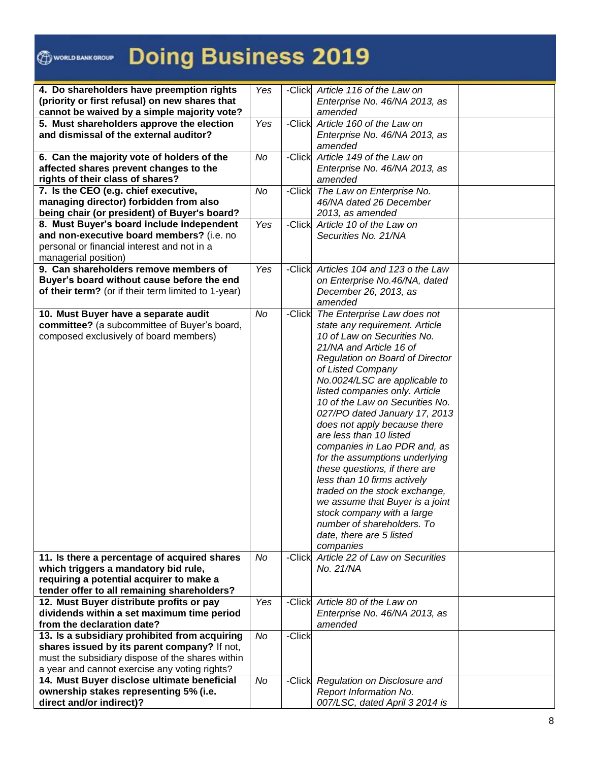### WORLD BANK GROUP

# **Doing Business 2019**

| 4. Do shareholders have preemption rights           | Yes |        | -Click Article 116 of the Law on       |  |
|-----------------------------------------------------|-----|--------|----------------------------------------|--|
| (priority or first refusal) on new shares that      |     |        | Enterprise No. 46/NA 2013, as          |  |
| cannot be waived by a simple majority vote?         |     |        | amended                                |  |
| 5. Must shareholders approve the election           | Yes |        | -Click Article 160 of the Law on       |  |
| and dismissal of the external auditor?              |     |        | Enterprise No. 46/NA 2013, as          |  |
|                                                     |     |        | amended                                |  |
| 6. Can the majority vote of holders of the          | No  | -Click | Article 149 of the Law on              |  |
| affected shares prevent changes to the              |     |        | Enterprise No. 46/NA 2013, as          |  |
| rights of their class of shares?                    |     |        | amended                                |  |
| 7. Is the CEO (e.g. chief executive,                | No  | -Click | The Law on Enterprise No.              |  |
| managing director) forbidden from also              |     |        | 46/NA dated 26 December                |  |
| being chair (or president) of Buyer's board?        |     |        | 2013, as amended                       |  |
| 8. Must Buyer's board include independent           | Yes | -Click | Article 10 of the Law on               |  |
| and non-executive board members? (i.e. no           |     |        | Securities No. 21/NA                   |  |
| personal or financial interest and not in a         |     |        |                                        |  |
| managerial position)                                |     |        |                                        |  |
| 9. Can shareholders remove members of               | Yes |        | -Click Articles 104 and 123 o the Law  |  |
| Buyer's board without cause before the end          |     |        | on Enterprise No.46/NA, dated          |  |
|                                                     |     |        |                                        |  |
| of their term? (or if their term limited to 1-year) |     |        | December 26, 2013, as                  |  |
|                                                     |     |        | amended                                |  |
| 10. Must Buyer have a separate audit                | No  | -Click | The Enterprise Law does not            |  |
| committee? (a subcommittee of Buyer's board,        |     |        | state any requirement. Article         |  |
| composed exclusively of board members)              |     |        | 10 of Law on Securities No.            |  |
|                                                     |     |        | 21/NA and Article 16 of                |  |
|                                                     |     |        | Regulation on Board of Director        |  |
|                                                     |     |        | of Listed Company                      |  |
|                                                     |     |        | No.0024/LSC are applicable to          |  |
|                                                     |     |        | listed companies only. Article         |  |
|                                                     |     |        | 10 of the Law on Securities No.        |  |
|                                                     |     |        | 027/PO dated January 17, 2013          |  |
|                                                     |     |        | does not apply because there           |  |
|                                                     |     |        | are less than 10 listed                |  |
|                                                     |     |        | companies in Lao PDR and, as           |  |
|                                                     |     |        | for the assumptions underlying         |  |
|                                                     |     |        | these questions, if there are          |  |
|                                                     |     |        | less than 10 firms actively            |  |
|                                                     |     |        | traded on the stock exchange,          |  |
|                                                     |     |        | we assume that Buyer is a joint        |  |
|                                                     |     |        | stock company with a large             |  |
|                                                     |     |        | number of shareholders. To             |  |
|                                                     |     |        | date, there are 5 listed               |  |
|                                                     |     |        |                                        |  |
|                                                     |     |        | companies                              |  |
| 11. Is there a percentage of acquired shares        | No  |        | -Click Article 22 of Law on Securities |  |
| which triggers a mandatory bid rule,                |     |        | No. 21/NA                              |  |
| requiring a potential acquirer to make a            |     |        |                                        |  |
| tender offer to all remaining shareholders?         |     |        |                                        |  |
| 12. Must Buyer distribute profits or pay            | Yes |        | -Click Article 80 of the Law on        |  |
| dividends within a set maximum time period          |     |        | Enterprise No. 46/NA 2013, as          |  |
| from the declaration date?                          |     |        | amended                                |  |
| 13. Is a subsidiary prohibited from acquiring       | No  | -Click |                                        |  |
| shares issued by its parent company? If not,        |     |        |                                        |  |
| must the subsidiary dispose of the shares within    |     |        |                                        |  |
| a year and cannot exercise any voting rights?       |     |        |                                        |  |
| 14. Must Buyer disclose ultimate beneficial         | No  |        | -Click Regulation on Disclosure and    |  |
| ownership stakes representing 5% (i.e.              |     |        | Report Information No.                 |  |
| direct and/or indirect)?                            |     |        | 007/LSC, dated April 3 2014 is         |  |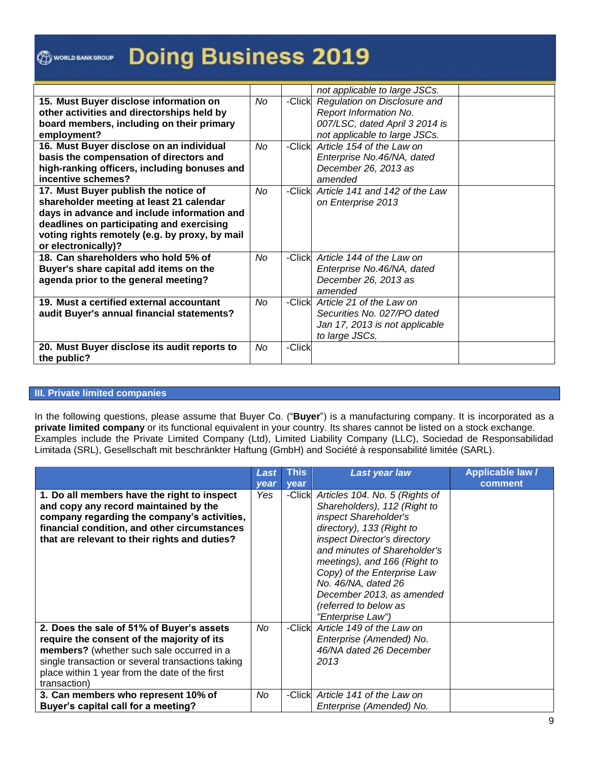|                                                |    |        | not applicable to large JSCs.  |  |
|------------------------------------------------|----|--------|--------------------------------|--|
| 15. Must Buyer disclose information on         | No | -Click | Regulation on Disclosure and   |  |
| other activities and directorships held by     |    |        | Report Information No.         |  |
| board members, including on their primary      |    |        | 007/LSC, dated April 3 2014 is |  |
| employment?                                    |    |        | not applicable to large JSCs.  |  |
| 16. Must Buyer disclose on an individual       | No | -Click | Article 154 of the Law on      |  |
| basis the compensation of directors and        |    |        | Enterprise No.46/NA, dated     |  |
| high-ranking officers, including bonuses and   |    |        | December 26, 2013 as           |  |
| incentive schemes?                             |    |        | amended                        |  |
| 17. Must Buyer publish the notice of           | No | -Click | Article 141 and 142 of the Law |  |
| shareholder meeting at least 21 calendar       |    |        | on Enterprise 2013             |  |
| days in advance and include information and    |    |        |                                |  |
| deadlines on participating and exercising      |    |        |                                |  |
| voting rights remotely (e.g. by proxy, by mail |    |        |                                |  |
| or electronically)?                            |    |        |                                |  |
| 18. Can shareholders who hold 5% of            | No | -Click | Article 144 of the Law on      |  |
| Buyer's share capital add items on the         |    |        | Enterprise No.46/NA, dated     |  |
| agenda prior to the general meeting?           |    |        | December 26, 2013 as           |  |
|                                                |    |        | amended                        |  |
| 19. Must a certified external accountant       | No | -Click | Article 21 of the Law on       |  |
| audit Buyer's annual financial statements?     |    |        | Securities No. 027/PO dated    |  |
|                                                |    |        | Jan 17, 2013 is not applicable |  |
|                                                |    |        | to large JSCs.                 |  |
| 20. Must Buyer disclose its audit reports to   | No | -Click |                                |  |
| the public?                                    |    |        |                                |  |

#### **III. Private limited companies**

In the following questions, please assume that Buyer Co. ("**Buyer**") is a manufacturing company. It is incorporated as a **private limited company** or its functional equivalent in your country. Its shares cannot be listed on a stock exchange. Examples include the Private Limited Company (Ltd), Limited Liability Company (LLC), Sociedad de Responsabilidad Limitada (SRL), Gesellschaft mit beschränkter Haftung (GmbH) and Société à responsabilité limitée (SARL).

|                                                                                                                                                                                                                                                             | Last | <b>This</b> | <b>Last year law</b>                                                                                                                                                                                                                                                                                                                                  | <b>Applicable law /</b> |
|-------------------------------------------------------------------------------------------------------------------------------------------------------------------------------------------------------------------------------------------------------------|------|-------------|-------------------------------------------------------------------------------------------------------------------------------------------------------------------------------------------------------------------------------------------------------------------------------------------------------------------------------------------------------|-------------------------|
|                                                                                                                                                                                                                                                             | year | vear        |                                                                                                                                                                                                                                                                                                                                                       | comment                 |
| 1. Do all members have the right to inspect<br>and copy any record maintained by the<br>company regarding the company's activities,<br>financial condition, and other circumstances<br>that are relevant to their rights and duties?                        | Yes  | -Click      | Articles 104. No. 5 (Rights of<br>Shareholders), 112 (Right to<br>inspect Shareholder's<br>directory), 133 (Right to<br>inspect Director's directory<br>and minutes of Shareholder's<br>meetings), and 166 (Right to<br>Copy) of the Enterprise Law<br>No. 46/NA, dated 26<br>December 2013, as amended<br>(referred to below as<br>"Enterprise Law") |                         |
| 2. Does the sale of 51% of Buyer's assets<br>require the consent of the majority of its<br>members? (whether such sale occurred in a<br>single transaction or several transactions taking<br>place within 1 year from the date of the first<br>transaction) | No   | -Click      | Article 149 of the Law on<br>Enterprise (Amended) No.<br>46/NA dated 26 December<br>2013                                                                                                                                                                                                                                                              |                         |
| 3. Can members who represent 10% of<br>Buyer's capital call for a meeting?                                                                                                                                                                                  | No   | -Clickl     | Article 141 of the Law on<br>Enterprise (Amended) No.                                                                                                                                                                                                                                                                                                 |                         |